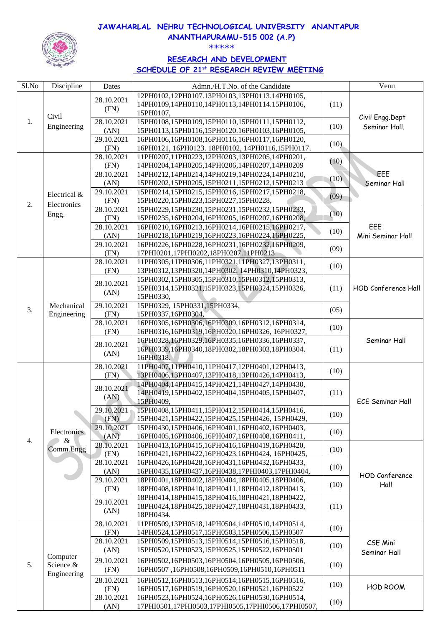#### **JAWAHARLAL NEHRU TECHNOLOGICAL UNIVERSITY ANANTAPUR ANANTHAPURAMU-515 002 (A.P)**



\*\*\*\*\*

# **RESEARCH AND DEVELOPMENT SCHEDULE OF 21 st RESEARCH REVIEW MEETING**

| Sl.No | Discipline                           | Dates                   | Admn./H.T.No. of the Candidate                     |      | Venu                    |
|-------|--------------------------------------|-------------------------|----------------------------------------------------|------|-------------------------|
|       |                                      |                         | 12PH0102,12PH0107.13PH0103,13PH0113.14PH0105,      |      |                         |
|       |                                      | 28.10.2021              | 14PH0109,14PH0110,14PH0113,14PH0114.15PH0106,      | (11) |                         |
|       |                                      | (FN)                    | 15PH0107,                                          |      |                         |
| 1.    | Civil                                | 28.10.2021              | 15PH0108,15PH0109,15PH0110,15PH0111,15PH0112,      |      | Civil Engg.Dept         |
|       | Engineering                          |                         |                                                    | (10) | Seminar Hall.           |
|       |                                      | (AN)                    | 15PH0113,15PH0116,15PH0120.16PH0103,16PH0105,      |      |                         |
|       |                                      | 29.10.2021              | 16PH0106,16PH0108,16PH0116,16PH0117,16PH0120,      | (10) |                         |
|       |                                      | (FN)                    | 16PH0121, 16PH0123. 18PH0102, 14PH0116,15PH0117.   |      |                         |
|       |                                      | $\overline{28.10.2021}$ | 11PH0207,11PH0223,12PH0203,13PH0205,14PH0201,      | (10) |                         |
|       |                                      | (FN)                    | 14PH0204,14PH0205,14PH0206,14PH0207,14PH0209       |      |                         |
|       |                                      | 28.10.2021              | 14PH0212,14PH0214,14PH0219,14PH0224,14PH0210,      | (10) | EEE                     |
|       |                                      | (AN)                    | 15PH0202,15PH0205,15PH0211,15PH0212,15PH0213       |      | Seminar Hall            |
|       | Electrical &                         | 29.10.2021              | 15PH0214,15PH0215,15PH0216,15PH0217,15PH0218,      | (09) |                         |
| 2.    | Electronics                          | (FN)                    | 15PH0220,15PH0223,15PH0227,15PH0228,               |      |                         |
|       | Engg.                                | 28.10.2021              | 15PH0229,15PH0230,15PH0231,15PH0232,15PH0233,      | (10) |                         |
|       |                                      | (FN)                    | 15PH0235,16PH0204,16PH0205,16PH0207,16PH0208,      |      |                         |
|       |                                      | 28.10.2021              | 16PH0210,16PH0213,16PH0214,16PH0215,16PH0217,      | (10) | EEE                     |
|       |                                      | (AN)                    | 16PH0218,16PH0219,16PH0223,16PH0224,16PH0225,      |      | Mini Seminar Hall       |
|       |                                      | 29.10.2021              | 16PH0226,16PH0228,16PH0231,16PH0232,16PH0209,      | (09) |                         |
|       |                                      | (FN)                    | 17PHI0201,17PHI0202,18PH0207.11PH0213              |      |                         |
|       |                                      | 28.10.2021              | 11PH0305,11PH0306,11PH0321,11PH0327,13PH0311,      | (10) |                         |
|       |                                      | (FN)                    | 13PH0312,13PH0320,14PH0302, 14PH0310,14PH0323,     |      |                         |
|       |                                      | 28.10.2021              | 15PH0302,15PH0305,15PH0310,15PH0312,15PH0313,      |      |                         |
|       |                                      |                         | 15PH0314,15PH0321,15PH0323,15PH0324,15PH0326,      | (11) | HOD Conference Hall     |
|       |                                      | (AN)                    | 15PH0330,                                          |      |                         |
|       | Mechanical                           | 29.10.2021              | 15PH0329, 15PH0331, 15PH0334,                      |      |                         |
| 3.    | Engineering                          | (FN)                    | 15PH0337,16PH0304,                                 | (05) |                         |
|       |                                      | 28.10.2021              | 16PH0305,16PH0306,16PH0309,16PH0312,16PH0314,      |      |                         |
|       |                                      | (FN)                    | 16РН0316,16РН0319,16РН0320,16РН0326, 16РН0327,     | (10) |                         |
|       |                                      |                         | 16PH0328,16PH0329,16PH0335,16PH0336,16PH0337,      |      | Seminar Hall            |
|       |                                      | 28.10.2021              | 16PH0339,16PH0340,18PH0302,18PH0303,18PH0304.      | (11) |                         |
|       |                                      | (AN)                    | 16PH0318.                                          |      |                         |
|       |                                      | 28.10.2021              | 11PH0407,11PH0410,11PH0417,12PH0401,12PH0413,      |      |                         |
|       |                                      | (FN)                    | 13PH0406,13PH0407,13PH0418,13PH0426,14PH0413,      | (10) |                         |
|       | Electronics<br>&<br>Comm.Engg        |                         | 14PH0404,14PH0415,14PH0421,14PH0427,14PH0430,      |      |                         |
|       |                                      | 28.10.2021              | 14PH0419,15PH0402,15PH0404,15PH0405,15PH0407,      | (11) |                         |
|       |                                      | (AN)                    | 15PH0409,                                          |      | <b>ECE Seminar Hall</b> |
|       |                                      | 29.10.2021              | 15PH0408,15PH0411,15PH0412,15PH0414,15PH0416,      |      |                         |
|       |                                      | (FN)                    | 15PH0421,15PH0422,15PH0425,15PH0426, 15PH0429,     | (10) |                         |
|       |                                      | 29.10.2021              | 15PH0430,15PH0406,16PH0401,16PH0402,16PH0403,      |      |                         |
|       |                                      | (AN)                    | 16PH0405,16PH0406,16PH0407,16PH0408,16PH0411,      | (10) |                         |
| 4.    |                                      | 28.10.2021              | 16PH0413,16PH0415,16PH0416,16PH0419,16PH0420,      |      |                         |
|       |                                      | (FN)                    | 16PH0421,16PH0422,16PH0423,16PH0424, 16PH0425,     | (10) |                         |
|       |                                      | 28.10.2021              | 16PH0426,16PH0428,16PH0431,16PH0432,16PH0433,      |      |                         |
|       |                                      | (AN)                    | 16PH0435,16PH0437,16PH0438,17PHI0403,17PHI0404,    | (10) |                         |
|       |                                      | 29.10.2021              | 18PH0401,18PH0402,18PH0404,18PH0405,18PH0406,      |      | <b>HOD Conference</b>   |
|       |                                      | (FN)                    | 18PH0408,18PH0410,18PH0411,18PH0412,18PH0413,      | (10) | Hall                    |
|       |                                      |                         | 18PH0414,18PH0415,18PH0416,18PH0421,18PH0422,      |      |                         |
|       |                                      | 29.10.2021              | 18PH0424,18PH0425,18PH0427,18PH0431,18PH0433,      | (11) |                         |
|       |                                      | (AN)                    | 18PH0434.                                          |      |                         |
|       |                                      | 28.10.2021              | 11PH0509,13PH0518,14PH0504,14PH0510,14PH0514,      |      |                         |
| 5.    | Computer<br>Science &<br>Engineering | (FN)                    | 14PH0524,15PH0517,15PH0503,15PH0506,15PH0507       | (10) |                         |
|       |                                      | 28.10.2021              |                                                    |      |                         |
|       |                                      |                         | 15PH0509,15PH0513,15PH0514,15PH0516,15PH0518,      | (10) | CSE Mini                |
|       |                                      | (AN)                    | 15PH0520,15PH0523,15PH0525,15PH0522,16PH0501       |      | Seminar Hall            |
|       |                                      | 29.10.2021              | 16PH0502,16PH0503,16PH0504,16PH0505,16PH0506,      | (10) |                         |
|       |                                      | (FN)                    | 16PH0507,16PH0508,16PH0509,16PH0510,16PH0511       |      |                         |
|       |                                      | 28.10.2021              | 16PH0512,16PH0513,16PH0514,16PH0515,16PH0516,      |      |                         |
|       |                                      | (FN)                    | 16PH0517,16PH0519,16PH0520,16PH0521,16PH0522       | (10) | HOD ROOM                |
|       |                                      | 28.10.2021              | 16PH0523,16PH0524,16PH0526,16PH0530,16PH0514,      |      |                         |
|       |                                      | (AN)                    | 17PHI0501,17PHI0503,17PHI0505,17PHI0506,17PHI0507, | (10) |                         |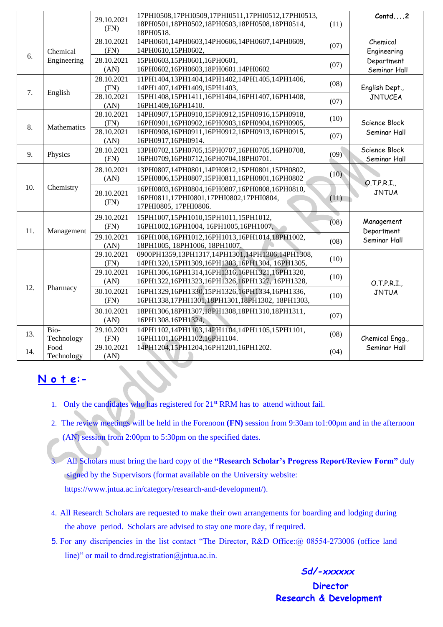| 29.10.2021<br>18PH0501,18PH0502,18PH0503,18PH0508,18PH0514,<br>(11)<br>(FN)<br>18PH0518.<br>14PH0601,14PH0603,14PH0606,14PH0607,14PH0609,<br>28.10.2021<br>Chemical<br>(07)<br>14PH0610,15PH0602,<br>(FN)<br>Chemical<br>Engineering<br>6.<br>Engineering<br>28.10.2021<br>15PH0603,15PH0601,16PH0601,<br>Department<br>(07)<br>16PH0602,16PH0603,18PH0601.14PH0602<br>(AN)<br>Seminar Hall<br>28.10.2021<br>11PH1404,13PH1404,14PH1402,14PH1405,14PH1406,<br>(08)<br>English Dept.,<br>(FN)<br>14PH1407,14PH1409,15PH1403,<br>7.<br>English<br>28.10.2021<br>15PH1408,15PH1411,16PH1404,16PH1407,16PH1408,<br><b>JNTUCEA</b><br>(07)<br>(AN)<br>16PH1409,16PH1410.<br>14PH0907,15PH0910,15PH0912,15PH0916,15PH0918,<br>28.10.2021<br>(10)<br>Science Block<br>16PH0901,16PH0902,16PH0903,16PH0904,16PH0905,<br>(FN)<br>8.<br>Mathematics<br>28.10.2021<br>16PH0908,16PH0911,16PH0912,16PH0913,16PH0915,<br>Seminar Hall<br>(07)<br>(AN)<br>16PH0917,16PH0914.<br>13PH0702,15PH0705,15PH0707,16PH0705,16PH0708,<br>Science Block<br>28.10.2021<br>(09)<br>9.<br>Physics<br>16PH0709,16PH0712,16PH0704,18PH0701.<br>(FN)<br>Seminar Hall<br>28.10.2021<br>13PH0807,14PH0801,14PH0812,15PH0801,15PH0802,<br>(10)<br>15PH0806,15PH0807,15PH0811,16PH0801,16PH0802<br>(AN)<br>O.T.P.R.I.<br>10.<br>Chemistry<br>16PH0803,16PH0804,16PH0807,16PH0808,16PH0810,<br><b>JNTUA</b><br>28.10.2021<br>16PH0811,17PHI0801,17PHI0802,17PHI0804,<br>(11)<br>(FN)<br>17PHI0805, 17PHI0806.<br>29.10.2021<br>15PH1007,15PH1010,15PH1011,15PH1012,<br>(08)<br>Management<br>(FN)<br>16PH1002,16PH1004, 16PH1005,16PH1007,<br>Department<br>11.<br>Management<br>29.10.2021<br>16PH1008,16PH1012,16PH1013,16PH1014,18PH1002,<br>Seminar Hall<br>(08)<br>(AN)<br>18PH1005, 18PH1006, 18PH1007.<br>0900PH1359,13PH1317,14PH1301,14PH1306,14PH1308,<br>29.10.2021<br>(10)<br>(FN)<br>14PH1320,15PH1309,16PH1303,16PH1304, 16PH1305,<br>29.10.2021<br>16PH1306,16PH1314,16PH1316,16PH1321,16PH1320,<br>(10)<br>(AN)<br>16PH1322,16PH1323,16PH1326,16PH1327, 16PH1328,<br>O.T.P.R.I.<br>12.<br>Pharmacy<br>30.10.2021<br>16PH1329,16PH1330,15PH1326,16PH1334,16PH1336,<br><b>JNTUA</b><br>(10) |     |      |  | 17PHI0508,17PHI0509,17PHI0511,17PHI0512,17PHI0513, |      | Contd2                          |
|-------------------------------------------------------------------------------------------------------------------------------------------------------------------------------------------------------------------------------------------------------------------------------------------------------------------------------------------------------------------------------------------------------------------------------------------------------------------------------------------------------------------------------------------------------------------------------------------------------------------------------------------------------------------------------------------------------------------------------------------------------------------------------------------------------------------------------------------------------------------------------------------------------------------------------------------------------------------------------------------------------------------------------------------------------------------------------------------------------------------------------------------------------------------------------------------------------------------------------------------------------------------------------------------------------------------------------------------------------------------------------------------------------------------------------------------------------------------------------------------------------------------------------------------------------------------------------------------------------------------------------------------------------------------------------------------------------------------------------------------------------------------------------------------------------------------------------------------------------------------------------------------------------------------------------------------------------------------------------------------------------------------------------------------------------------------------------------------------------------------------------------------------------------------------|-----|------|--|----------------------------------------------------|------|---------------------------------|
|                                                                                                                                                                                                                                                                                                                                                                                                                                                                                                                                                                                                                                                                                                                                                                                                                                                                                                                                                                                                                                                                                                                                                                                                                                                                                                                                                                                                                                                                                                                                                                                                                                                                                                                                                                                                                                                                                                                                                                                                                                                                                                                                                                         |     |      |  |                                                    |      |                                 |
|                                                                                                                                                                                                                                                                                                                                                                                                                                                                                                                                                                                                                                                                                                                                                                                                                                                                                                                                                                                                                                                                                                                                                                                                                                                                                                                                                                                                                                                                                                                                                                                                                                                                                                                                                                                                                                                                                                                                                                                                                                                                                                                                                                         |     |      |  |                                                    |      |                                 |
|                                                                                                                                                                                                                                                                                                                                                                                                                                                                                                                                                                                                                                                                                                                                                                                                                                                                                                                                                                                                                                                                                                                                                                                                                                                                                                                                                                                                                                                                                                                                                                                                                                                                                                                                                                                                                                                                                                                                                                                                                                                                                                                                                                         |     |      |  |                                                    |      |                                 |
|                                                                                                                                                                                                                                                                                                                                                                                                                                                                                                                                                                                                                                                                                                                                                                                                                                                                                                                                                                                                                                                                                                                                                                                                                                                                                                                                                                                                                                                                                                                                                                                                                                                                                                                                                                                                                                                                                                                                                                                                                                                                                                                                                                         |     |      |  |                                                    |      |                                 |
|                                                                                                                                                                                                                                                                                                                                                                                                                                                                                                                                                                                                                                                                                                                                                                                                                                                                                                                                                                                                                                                                                                                                                                                                                                                                                                                                                                                                                                                                                                                                                                                                                                                                                                                                                                                                                                                                                                                                                                                                                                                                                                                                                                         |     |      |  |                                                    |      |                                 |
|                                                                                                                                                                                                                                                                                                                                                                                                                                                                                                                                                                                                                                                                                                                                                                                                                                                                                                                                                                                                                                                                                                                                                                                                                                                                                                                                                                                                                                                                                                                                                                                                                                                                                                                                                                                                                                                                                                                                                                                                                                                                                                                                                                         |     |      |  |                                                    |      |                                 |
|                                                                                                                                                                                                                                                                                                                                                                                                                                                                                                                                                                                                                                                                                                                                                                                                                                                                                                                                                                                                                                                                                                                                                                                                                                                                                                                                                                                                                                                                                                                                                                                                                                                                                                                                                                                                                                                                                                                                                                                                                                                                                                                                                                         |     |      |  |                                                    |      |                                 |
|                                                                                                                                                                                                                                                                                                                                                                                                                                                                                                                                                                                                                                                                                                                                                                                                                                                                                                                                                                                                                                                                                                                                                                                                                                                                                                                                                                                                                                                                                                                                                                                                                                                                                                                                                                                                                                                                                                                                                                                                                                                                                                                                                                         |     |      |  |                                                    |      |                                 |
|                                                                                                                                                                                                                                                                                                                                                                                                                                                                                                                                                                                                                                                                                                                                                                                                                                                                                                                                                                                                                                                                                                                                                                                                                                                                                                                                                                                                                                                                                                                                                                                                                                                                                                                                                                                                                                                                                                                                                                                                                                                                                                                                                                         |     |      |  |                                                    |      |                                 |
|                                                                                                                                                                                                                                                                                                                                                                                                                                                                                                                                                                                                                                                                                                                                                                                                                                                                                                                                                                                                                                                                                                                                                                                                                                                                                                                                                                                                                                                                                                                                                                                                                                                                                                                                                                                                                                                                                                                                                                                                                                                                                                                                                                         |     |      |  |                                                    |      |                                 |
|                                                                                                                                                                                                                                                                                                                                                                                                                                                                                                                                                                                                                                                                                                                                                                                                                                                                                                                                                                                                                                                                                                                                                                                                                                                                                                                                                                                                                                                                                                                                                                                                                                                                                                                                                                                                                                                                                                                                                                                                                                                                                                                                                                         |     |      |  |                                                    |      |                                 |
|                                                                                                                                                                                                                                                                                                                                                                                                                                                                                                                                                                                                                                                                                                                                                                                                                                                                                                                                                                                                                                                                                                                                                                                                                                                                                                                                                                                                                                                                                                                                                                                                                                                                                                                                                                                                                                                                                                                                                                                                                                                                                                                                                                         |     |      |  |                                                    |      |                                 |
|                                                                                                                                                                                                                                                                                                                                                                                                                                                                                                                                                                                                                                                                                                                                                                                                                                                                                                                                                                                                                                                                                                                                                                                                                                                                                                                                                                                                                                                                                                                                                                                                                                                                                                                                                                                                                                                                                                                                                                                                                                                                                                                                                                         |     |      |  |                                                    |      |                                 |
|                                                                                                                                                                                                                                                                                                                                                                                                                                                                                                                                                                                                                                                                                                                                                                                                                                                                                                                                                                                                                                                                                                                                                                                                                                                                                                                                                                                                                                                                                                                                                                                                                                                                                                                                                                                                                                                                                                                                                                                                                                                                                                                                                                         |     |      |  |                                                    |      |                                 |
|                                                                                                                                                                                                                                                                                                                                                                                                                                                                                                                                                                                                                                                                                                                                                                                                                                                                                                                                                                                                                                                                                                                                                                                                                                                                                                                                                                                                                                                                                                                                                                                                                                                                                                                                                                                                                                                                                                                                                                                                                                                                                                                                                                         |     |      |  |                                                    |      |                                 |
|                                                                                                                                                                                                                                                                                                                                                                                                                                                                                                                                                                                                                                                                                                                                                                                                                                                                                                                                                                                                                                                                                                                                                                                                                                                                                                                                                                                                                                                                                                                                                                                                                                                                                                                                                                                                                                                                                                                                                                                                                                                                                                                                                                         |     |      |  |                                                    |      |                                 |
|                                                                                                                                                                                                                                                                                                                                                                                                                                                                                                                                                                                                                                                                                                                                                                                                                                                                                                                                                                                                                                                                                                                                                                                                                                                                                                                                                                                                                                                                                                                                                                                                                                                                                                                                                                                                                                                                                                                                                                                                                                                                                                                                                                         |     |      |  |                                                    |      |                                 |
|                                                                                                                                                                                                                                                                                                                                                                                                                                                                                                                                                                                                                                                                                                                                                                                                                                                                                                                                                                                                                                                                                                                                                                                                                                                                                                                                                                                                                                                                                                                                                                                                                                                                                                                                                                                                                                                                                                                                                                                                                                                                                                                                                                         |     |      |  |                                                    |      |                                 |
|                                                                                                                                                                                                                                                                                                                                                                                                                                                                                                                                                                                                                                                                                                                                                                                                                                                                                                                                                                                                                                                                                                                                                                                                                                                                                                                                                                                                                                                                                                                                                                                                                                                                                                                                                                                                                                                                                                                                                                                                                                                                                                                                                                         |     |      |  |                                                    |      |                                 |
|                                                                                                                                                                                                                                                                                                                                                                                                                                                                                                                                                                                                                                                                                                                                                                                                                                                                                                                                                                                                                                                                                                                                                                                                                                                                                                                                                                                                                                                                                                                                                                                                                                                                                                                                                                                                                                                                                                                                                                                                                                                                                                                                                                         |     |      |  |                                                    |      |                                 |
|                                                                                                                                                                                                                                                                                                                                                                                                                                                                                                                                                                                                                                                                                                                                                                                                                                                                                                                                                                                                                                                                                                                                                                                                                                                                                                                                                                                                                                                                                                                                                                                                                                                                                                                                                                                                                                                                                                                                                                                                                                                                                                                                                                         |     |      |  |                                                    |      |                                 |
|                                                                                                                                                                                                                                                                                                                                                                                                                                                                                                                                                                                                                                                                                                                                                                                                                                                                                                                                                                                                                                                                                                                                                                                                                                                                                                                                                                                                                                                                                                                                                                                                                                                                                                                                                                                                                                                                                                                                                                                                                                                                                                                                                                         |     |      |  |                                                    |      |                                 |
|                                                                                                                                                                                                                                                                                                                                                                                                                                                                                                                                                                                                                                                                                                                                                                                                                                                                                                                                                                                                                                                                                                                                                                                                                                                                                                                                                                                                                                                                                                                                                                                                                                                                                                                                                                                                                                                                                                                                                                                                                                                                                                                                                                         |     |      |  |                                                    |      |                                 |
|                                                                                                                                                                                                                                                                                                                                                                                                                                                                                                                                                                                                                                                                                                                                                                                                                                                                                                                                                                                                                                                                                                                                                                                                                                                                                                                                                                                                                                                                                                                                                                                                                                                                                                                                                                                                                                                                                                                                                                                                                                                                                                                                                                         |     |      |  |                                                    |      |                                 |
|                                                                                                                                                                                                                                                                                                                                                                                                                                                                                                                                                                                                                                                                                                                                                                                                                                                                                                                                                                                                                                                                                                                                                                                                                                                                                                                                                                                                                                                                                                                                                                                                                                                                                                                                                                                                                                                                                                                                                                                                                                                                                                                                                                         |     |      |  |                                                    |      |                                 |
|                                                                                                                                                                                                                                                                                                                                                                                                                                                                                                                                                                                                                                                                                                                                                                                                                                                                                                                                                                                                                                                                                                                                                                                                                                                                                                                                                                                                                                                                                                                                                                                                                                                                                                                                                                                                                                                                                                                                                                                                                                                                                                                                                                         |     |      |  |                                                    |      |                                 |
|                                                                                                                                                                                                                                                                                                                                                                                                                                                                                                                                                                                                                                                                                                                                                                                                                                                                                                                                                                                                                                                                                                                                                                                                                                                                                                                                                                                                                                                                                                                                                                                                                                                                                                                                                                                                                                                                                                                                                                                                                                                                                                                                                                         |     |      |  |                                                    |      |                                 |
|                                                                                                                                                                                                                                                                                                                                                                                                                                                                                                                                                                                                                                                                                                                                                                                                                                                                                                                                                                                                                                                                                                                                                                                                                                                                                                                                                                                                                                                                                                                                                                                                                                                                                                                                                                                                                                                                                                                                                                                                                                                                                                                                                                         |     |      |  |                                                    |      |                                 |
|                                                                                                                                                                                                                                                                                                                                                                                                                                                                                                                                                                                                                                                                                                                                                                                                                                                                                                                                                                                                                                                                                                                                                                                                                                                                                                                                                                                                                                                                                                                                                                                                                                                                                                                                                                                                                                                                                                                                                                                                                                                                                                                                                                         |     |      |  |                                                    |      |                                 |
|                                                                                                                                                                                                                                                                                                                                                                                                                                                                                                                                                                                                                                                                                                                                                                                                                                                                                                                                                                                                                                                                                                                                                                                                                                                                                                                                                                                                                                                                                                                                                                                                                                                                                                                                                                                                                                                                                                                                                                                                                                                                                                                                                                         |     |      |  |                                                    |      |                                 |
| 16PH1338,17PHI1301,18PH1301,18PH1302, 18PH1303,<br>(FN)                                                                                                                                                                                                                                                                                                                                                                                                                                                                                                                                                                                                                                                                                                                                                                                                                                                                                                                                                                                                                                                                                                                                                                                                                                                                                                                                                                                                                                                                                                                                                                                                                                                                                                                                                                                                                                                                                                                                                                                                                                                                                                                 |     |      |  |                                                    |      |                                 |
| 18PH1306,18PH1307,18PH1308,18PH1310,18PH1311,<br>30.10.2021                                                                                                                                                                                                                                                                                                                                                                                                                                                                                                                                                                                                                                                                                                                                                                                                                                                                                                                                                                                                                                                                                                                                                                                                                                                                                                                                                                                                                                                                                                                                                                                                                                                                                                                                                                                                                                                                                                                                                                                                                                                                                                             |     |      |  |                                                    |      |                                 |
| (07)<br>16PH1308.16PH1324,<br>(AN)                                                                                                                                                                                                                                                                                                                                                                                                                                                                                                                                                                                                                                                                                                                                                                                                                                                                                                                                                                                                                                                                                                                                                                                                                                                                                                                                                                                                                                                                                                                                                                                                                                                                                                                                                                                                                                                                                                                                                                                                                                                                                                                                      |     |      |  |                                                    |      |                                 |
| 14PH1102,14PH1103,14PH1104,14PH1105,15PH1101,<br>29.10.2021                                                                                                                                                                                                                                                                                                                                                                                                                                                                                                                                                                                                                                                                                                                                                                                                                                                                                                                                                                                                                                                                                                                                                                                                                                                                                                                                                                                                                                                                                                                                                                                                                                                                                                                                                                                                                                                                                                                                                                                                                                                                                                             | 13. | Bio- |  |                                                    |      | Chemical Engg.,<br>Seminar Hall |
| (08)<br>Technology<br>16PH1101,16PH1102,16PH1104.<br>(FN)                                                                                                                                                                                                                                                                                                                                                                                                                                                                                                                                                                                                                                                                                                                                                                                                                                                                                                                                                                                                                                                                                                                                                                                                                                                                                                                                                                                                                                                                                                                                                                                                                                                                                                                                                                                                                                                                                                                                                                                                                                                                                                               |     |      |  |                                                    |      |                                 |
| 29.10.2021<br>14PH1204,15PH1204,16PH1201,16PH1202.<br>Food                                                                                                                                                                                                                                                                                                                                                                                                                                                                                                                                                                                                                                                                                                                                                                                                                                                                                                                                                                                                                                                                                                                                                                                                                                                                                                                                                                                                                                                                                                                                                                                                                                                                                                                                                                                                                                                                                                                                                                                                                                                                                                              |     |      |  |                                                    | (04) |                                 |
| 14.<br>Technology<br>(AN)                                                                                                                                                                                                                                                                                                                                                                                                                                                                                                                                                                                                                                                                                                                                                                                                                                                                                                                                                                                                                                                                                                                                                                                                                                                                                                                                                                                                                                                                                                                                                                                                                                                                                                                                                                                                                                                                                                                                                                                                                                                                                                                                               |     |      |  |                                                    |      |                                 |

# **N o t e:-**

- 1. Only the candidates who has registered for 21<sup>st</sup> RRM has to attend without fail.
- 2. The review meetings will be held in the Forenoon **(FN)** session from 9:30am to1:00pm and in the afternoon (AN) session from 2:00pm to 5:30pm on the specified dates.
- 3. All Scholars must bring the hard copy of the **"Research Scholar's Progress Report/Review Form"** duly signed by the Supervisors (format available on the University website: [https://www.jntua.ac.in/category/research-and-development/\)](https://www.jntua.ac.in/category/research-and-development/).
- 4. All Research Scholars are requested to make their own arrangements for boarding and lodging during the above period. Scholars are advised to stay one more day, if required.
- 5. For any discripencies in the list contact "The Director, R&D Office:@ 08554-273006 (office land line)" or mail to drnd.registration@jntua.ac.in.

 *Sd/-xxxxxx*   **Director Research & Development**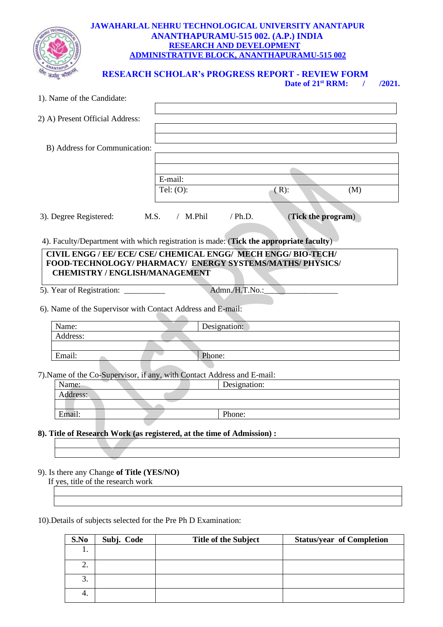

#### **JAWAHARLAL NEHRU TECHNOLOGICAL UNIVERSITY ANANTAPUR ANANTHAPURAMU-515 002. (A.P.) INDIA RESEARCH AND DEVELOPMENT ADMINISTRATIVE BLOCK, ANANTHAPURAMU-515 002**

 **RESEARCH SCHOLAR's PROGRESS REPORT - REVIEW FORM**

**Date of 21st RRM: / /2021.**

| 1). Name of the Candidate:                                                                                                                                        |                         |              |                    |     |  |  |
|-------------------------------------------------------------------------------------------------------------------------------------------------------------------|-------------------------|--------------|--------------------|-----|--|--|
| 2) A) Present Official Address:                                                                                                                                   |                         |              |                    |     |  |  |
| B) Address for Communication:                                                                                                                                     |                         |              |                    |     |  |  |
|                                                                                                                                                                   | E-mail:<br>Tel: $(O)$ : |              | $(R)$ :            | (M) |  |  |
| 3). Degree Registered:                                                                                                                                            | M.S.<br>$/$ M.Phil      | $/$ Ph.D.    | (Tick the program) |     |  |  |
| 4). Faculty/Department with which registration is made: (Tick the appropriate faculty)                                                                            |                         |              |                    |     |  |  |
| CIVIL ENGG / EE/ ECE/ CSE/ CHEMICAL ENGG/ MECH ENGG/ BIO-TECH/<br>FOOD-TECHNOLOGY/PHARMACY/ENERGY SYSTEMS/MATHS/PHYSICS/<br><b>CHEMISTRY / ENGLISH/MANAGEMENT</b> |                         |              |                    |     |  |  |
| Admn./H.T.No.:<br>5). Year of Registration: ___________                                                                                                           |                         |              |                    |     |  |  |
| 6). Name of the Supervisor with Contact Address and E-mail:                                                                                                       |                         |              |                    |     |  |  |
| Name:                                                                                                                                                             |                         | Designation: |                    |     |  |  |
| Address:                                                                                                                                                          |                         |              |                    |     |  |  |
| Email:                                                                                                                                                            | Phone:                  |              |                    |     |  |  |
|                                                                                                                                                                   |                         |              |                    |     |  |  |
| 7). Name of the Co-Supervisor, if any, with Contact Address and E-mail:                                                                                           |                         |              |                    |     |  |  |
| Name:                                                                                                                                                             |                         | Designation: |                    |     |  |  |
| Address:                                                                                                                                                          |                         |              |                    |     |  |  |
| Email:                                                                                                                                                            |                         | Phone:       |                    |     |  |  |
|                                                                                                                                                                   |                         |              |                    |     |  |  |
| 8). Title of Research Work (as registered, at the time of Admission) :                                                                                            |                         |              |                    |     |  |  |
|                                                                                                                                                                   |                         |              |                    |     |  |  |
|                                                                                                                                                                   |                         |              |                    |     |  |  |
| 9). Is there any Change of Title (YES/NO)<br>If yes, title of the research work                                                                                   |                         |              |                    |     |  |  |
|                                                                                                                                                                   |                         |              |                    |     |  |  |
|                                                                                                                                                                   |                         |              |                    |     |  |  |

10).Details of subjects selected for the Pre Ph D Examination:

| S.No | Subj. Code | <b>Title of the Subject</b> | <b>Status/year of Completion</b> |
|------|------------|-----------------------------|----------------------------------|
| . .  |            |                             |                                  |
| ∠.   |            |                             |                                  |
| 3.   |            |                             |                                  |
| 4.   |            |                             |                                  |